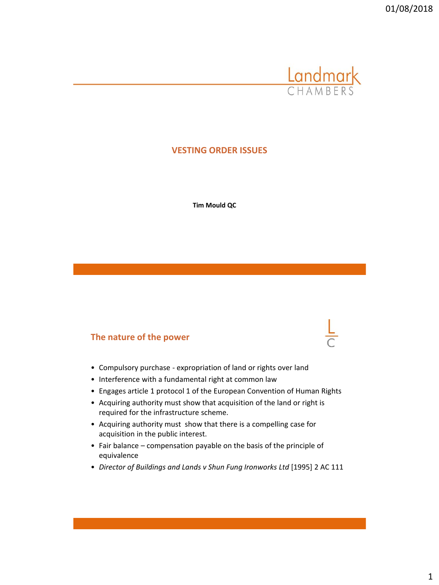

# **VESTING ORDER ISSUES**

**Tim Mould QC**

# **The nature of the power**

- Compulsory purchase expropriation of land or rights over land
- Interference with a fundamental right at common law
- Engages article 1 protocol 1 of the European Convention of Human Rights
- Acquiring authority must show that acquisition of the land or right is required for the infrastructure scheme.
- Acquiring authority must show that there is a compelling case for acquisition in the public interest.
- Fair balance compensation payable on the basis of the principle of equivalence
- *Director of Buildings and Lands v Shun Fung Ironworks Ltd* [1995] 2 AC 111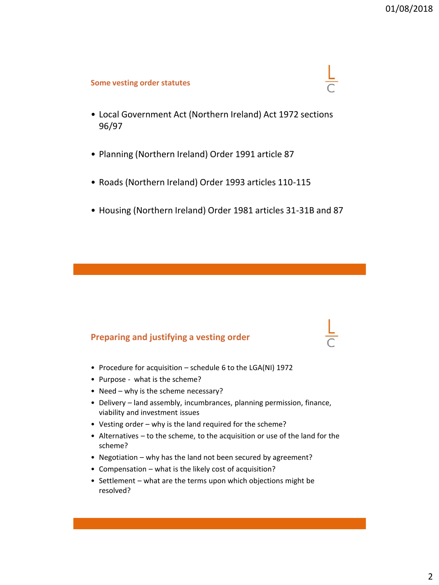$\frac{L}{C}$ 

### **Some vesting order statutes**

- Local Government Act (Northern Ireland) Act 1972 sections 96/97
- Planning (Northern Ireland) Order 1991 article 87
- Roads (Northern Ireland) Order 1993 articles 110-115
- Housing (Northern Ireland) Order 1981 articles 31-31B and 87

# **Preparing and justifying a vesting order**

- Procedure for acquisition schedule 6 to the LGA(NI) 1972
- Purpose what is the scheme?
- Need why is the scheme necessary?
- Delivery land assembly, incumbrances, planning permission, finance, viability and investment issues
- Vesting order why is the land required for the scheme?
- Alternatives to the scheme, to the acquisition or use of the land for the scheme?
- Negotiation why has the land not been secured by agreement?
- Compensation what is the likely cost of acquisition?
- Settlement what are the terms upon which objections might be resolved?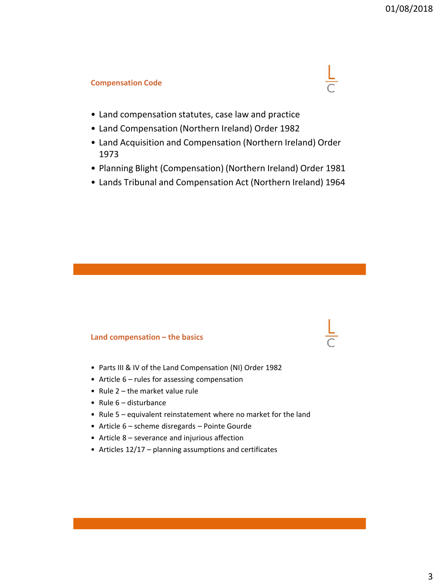## **Compensation Code**



- Land compensation statutes, case law and practice
- Land Compensation (Northern Ireland) Order 1982
- Land Acquisition and Compensation (Northern Ireland) Order 1973
- Planning Blight (Compensation) (Northern Ireland) Order 1981
- Lands Tribunal and Compensation Act (Northern Ireland) 1964

### **Land compensation – the basics**

- Parts III & IV of the Land Compensation (NI) Order 1982
- Article 6 rules for assessing compensation
- Rule 2 the market value rule
- Rule 6 disturbance
- Rule 5 equivalent reinstatement where no market for the land
- Article 6 scheme disregards Pointe Gourde
- Article 8 severance and injurious affection
- Articles 12/17 planning assumptions and certificates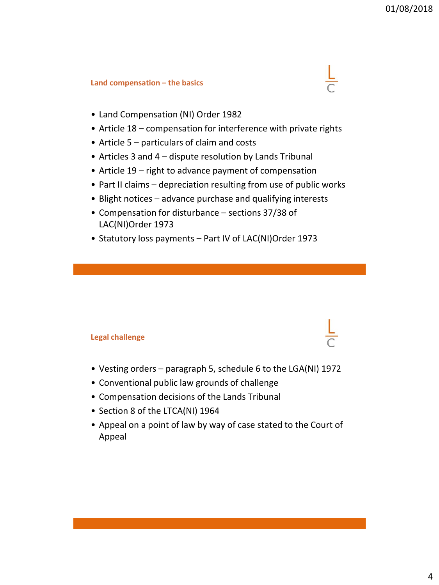# **Land compensation – the basics**

- Land Compensation (NI) Order 1982
- Article 18 compensation for interference with private rights
- Article 5 particulars of claim and costs
- Articles 3 and 4 dispute resolution by Lands Tribunal
- Article 19 right to advance payment of compensation
- Part II claims depreciation resulting from use of public works
- Blight notices advance purchase and qualifying interests
- Compensation for disturbance sections 37/38 of LAC(NI)Order 1973
- Statutory loss payments Part IV of LAC(NI)Order 1973

# **Legal challenge**

- Vesting orders paragraph 5, schedule 6 to the LGA(NI) 1972
- Conventional public law grounds of challenge
- Compensation decisions of the Lands Tribunal
- Section 8 of the LTCA(NI) 1964
- Appeal on a point of law by way of case stated to the Court of Appeal

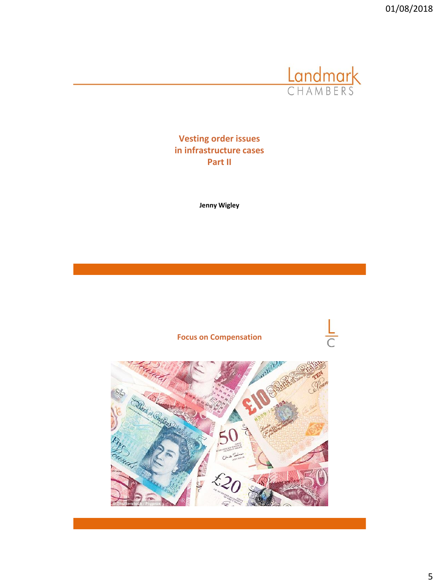

**Vesting order issues in infrastructure cases Part II** 

**Jenny Wigley**

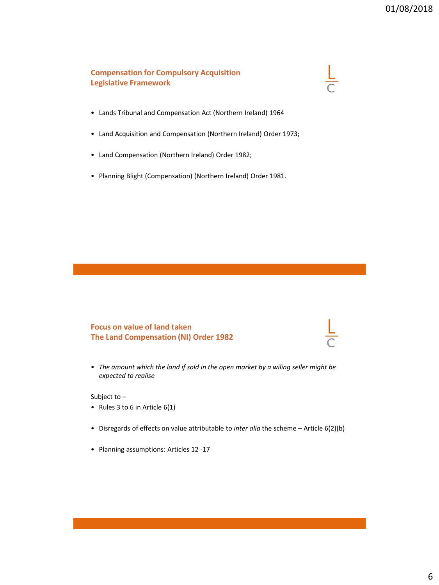## **Compensation for Compulsory Acquisition Legislative Framework**

#### • Lands Tribunal and Compensation Act (Northern Ireland) 1964

- Land Acquisition and Compensation (Northern Ireland) Order 1973;
- Land Compensation (Northern Ireland) Order 1982;
- Planning Blight (Compensation) (Northern Ireland) Order 1981.

# **Focus on value of land taken The Land Compensation (NI) Order 1982**

• *The amount which the land if sold in the open market by a wiling seller might be expected to realise*

Subject to –

- Rules 3 to 6 in Article 6(1)
- Disregards of effects on value attributable to *inter alia* the scheme Article 6(2)(b)
- Planning assumptions: Articles 12 -17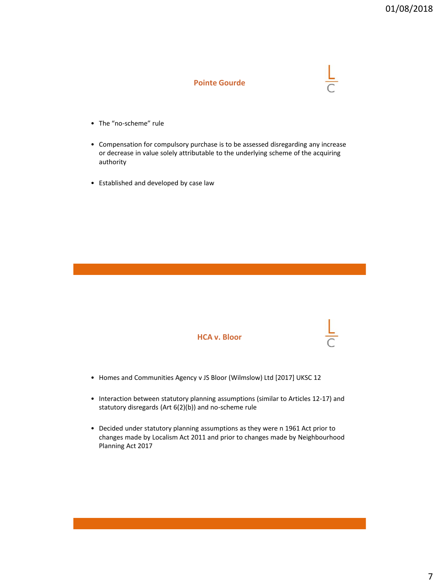### **Pointe Gourde**

- The "no-scheme" rule
- Compensation for compulsory purchase is to be assessed disregarding any increase or decrease in value solely attributable to the underlying scheme of the acquiring authority
- Established and developed by case law



- Homes and Communities Agency v JS Bloor (Wilmslow) Ltd [2017] UKSC 12
- Interaction between statutory planning assumptions (similar to Articles 12-17) and statutory disregards (Art 6(2)(b)) and no-scheme rule
- Decided under statutory planning assumptions as they were n 1961 Act prior to changes made by Localism Act 2011 and prior to changes made by Neighbourhood Planning Act 2017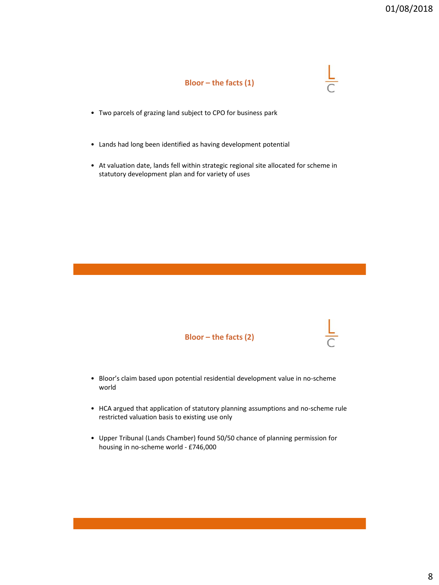

- Two parcels of grazing land subject to CPO for business park
- Lands had long been identified as having development potential
- At valuation date, lands fell within strategic regional site allocated for scheme in statutory development plan and for variety of uses



- Bloor's claim based upon potential residential development value in no-scheme world
- HCA argued that application of statutory planning assumptions and no-scheme rule restricted valuation basis to existing use only
- Upper Tribunal (Lands Chamber) found 50/50 chance of planning permission for housing in no-scheme world - £746,000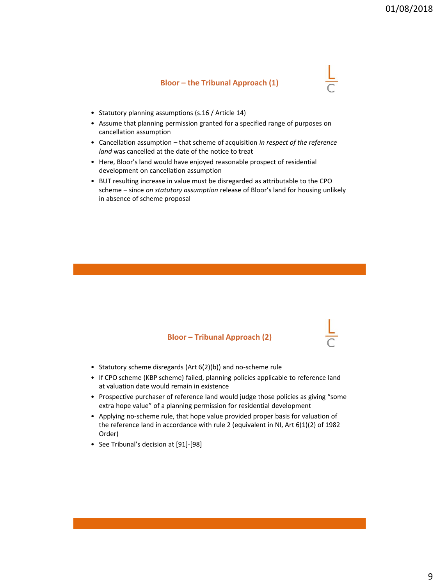### **Bloor – the Tribunal Approach (1)**

- Statutory planning assumptions (s.16 / Article 14)
- Assume that planning permission granted for a specified range of purposes on cancellation assumption
- Cancellation assumption that scheme of acquisition *in respect of the reference land* was cancelled at the date of the notice to treat
- Here, Bloor's land would have enjoyed reasonable prospect of residential development on cancellation assumption
- BUT resulting increase in value must be disregarded as attributable to the CPO scheme – since *on statutory assumption* release of Bloor's land for housing unlikely in absence of scheme proposal

### **Bloor – Tribunal Approach (2)**

- Statutory scheme disregards (Art 6(2)(b)) and no-scheme rule
- If CPO scheme (KBP scheme) failed, planning policies applicable to reference land at valuation date would remain in existence
- Prospective purchaser of reference land would judge those policies as giving "some extra hope value" of a planning permission for residential development
- Applying no-scheme rule, that hope value provided proper basis for valuation of the reference land in accordance with rule 2 (equivalent in NI, Art 6(1)(2) of 1982 Order)
- See Tribunal's decision at [91]-[98]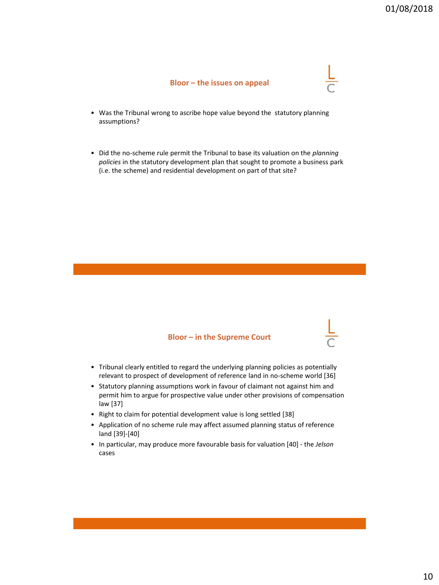#### **Bloor – the issues on appeal**

- Was the Tribunal wrong to ascribe hope value beyond the statutory planning assumptions?
- Did the no-scheme rule permit the Tribunal to base its valuation on the *planning policies* in the statutory development plan that sought to promote a business park (i.e. the scheme) and residential development on part of that site?

#### **Bloor – in the Supreme Court**

- Tribunal clearly entitled to regard the underlying planning policies as potentially relevant to prospect of development of reference land in no-scheme world [36]
- Statutory planning assumptions work in favour of claimant not against him and permit him to argue for prospective value under other provisions of compensation law [37]
- Right to claim for potential development value is long settled [38]
- Application of no scheme rule may affect assumed planning status of reference land [39]-[40]
- In particular, may produce more favourable basis for valuation [40] the *Jelson* cases